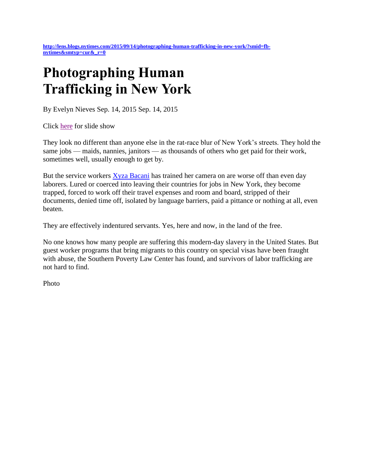**[http://lens.blogs.nytimes.com/2015/09/14/photographing-human-trafficking-in-new-york/?smid=fb](http://lens.blogs.nytimes.com/2015/09/14/photographing-human-trafficking-in-new-york/?smid=fb-nytimes&smtyp=cur&_r=0)[nytimes&smtyp=cur&\\_r=0](http://lens.blogs.nytimes.com/2015/09/14/photographing-human-trafficking-in-new-york/?smid=fb-nytimes&smtyp=cur&_r=0)**

## **Photographing Human Trafficking in New York**

By Evelyn Nieves Sep. 14, 2015 Sep. 14, 2015

Click [here](http://lens.blogs.nytimes.com/2015/09/14/photographing-human-trafficking-in-new-york/?emc=eta1#slideshow/100000003905775/100000003905777) for slide show

They look no different than anyone else in the rat-race blur of New York's streets. They hold the same jobs — maids, nannies, janitors — as thousands of others who get paid for their work, sometimes well, usually enough to get by.

But the service workers **Xyza Bacani** has trained her camera on are worse off than even day laborers. Lured or coerced into leaving their countries for jobs in New York, they become trapped, forced to work off their travel expenses and room and board, stripped of their documents, denied time off, isolated by language barriers, paid a pittance or nothing at all, even beaten.

They are effectively indentured servants. Yes, here and now, in the land of the free.

No one knows how many people are suffering this modern-day slavery in the United States. But guest worker programs that bring migrants to this country on special visas have been fraught with abuse, the Southern Poverty Law Center has found, and survivors of labor trafficking are not hard to find.

Photo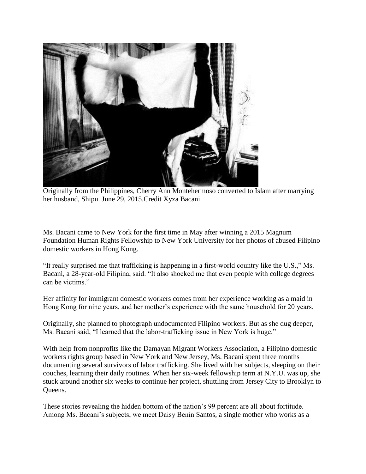

Originally from the Philippines, Cherry Ann Montehermoso converted to Islam after marrying her husband, Shipu. June 29, 2015.Credit Xyza Bacani

Ms. Bacani came to New York for the first time in May after winning a 2015 Magnum Foundation Human Rights Fellowship to New York University for her photos of abused Filipino domestic workers in Hong Kong.

"It really surprised me that trafficking is happening in a first-world country like the U.S.," Ms. Bacani, a 28-year-old Filipina, said. "It also shocked me that even people with college degrees can be victims."

Her affinity for immigrant domestic workers comes from her experience working as a maid in Hong Kong for nine years, and her mother's experience with the same household for 20 years.

Originally, she planned to photograph undocumented Filipino workers. But as she dug deeper, Ms. Bacani said, "I learned that the labor-trafficking issue in New York is huge."

With help from nonprofits like the Damayan Migrant Workers Association, a Filipino domestic workers rights group based in New York and New Jersey, Ms. Bacani spent three months documenting several survivors of labor trafficking. She lived with her subjects, sleeping on their couches, learning their daily routines. When her six-week fellowship term at N.Y.U. was up, she stuck around another six weeks to continue her project, shuttling from Jersey City to Brooklyn to Queens.

These stories revealing the hidden bottom of the nation's 99 percent are all about fortitude. Among Ms. Bacani's subjects, we meet Daisy Benin Santos, a single mother who works as a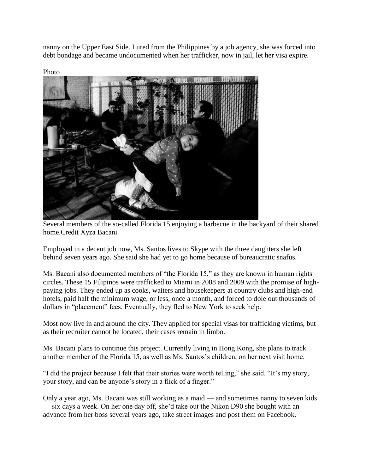nanny on the Upper East Side. Lured from the Philippines by a job agency, she was forced into debt bondage and became undocumented when her trafficker, now in jail, let her visa expire.



Several members of the so-called Florida 15 enjoying a barbecue in the backyard of their shared home.Credit Xyza Bacani

Employed in a decent job now, Ms. Santos lives to Skype with the three daughters she left behind seven years ago. She said she had yet to go home because of bureaucratic snafus.

Ms. Bacani also documented members of "the Florida 15," as they are known in human rights circles. These 15 Filipinos were trafficked to Miami in 2008 and 2009 with the promise of highpaying jobs. They ended up as cooks, waiters and housekeepers at country clubs and high-end hotels, paid half the minimum wage, or less, once a month, and forced to dole out thousands of dollars in "placement" fees. Eventually, they fled to New York to seek help.

Most now live in and around the city. They applied for special visas for trafficking victims, but as their recruiter cannot be located, their cases remain in limbo.

Ms. Bacani plans to continue this project. Currently living in Hong Kong, she plans to track another member of the Florida 15, as well as Ms. Santos's children, on her next visit home.

"I did the project because I felt that their stories were worth telling," she said. "It's my story, your story, and can be anyone's story in a flick of a finger."

Only a year ago, Ms. Bacani was still working as a maid — and sometimes nanny to seven kids — six days a week. On her one day off, she'd take out the Nikon D90 she bought with an advance from her boss several years ago, take street images and post them on Facebook.

Photo